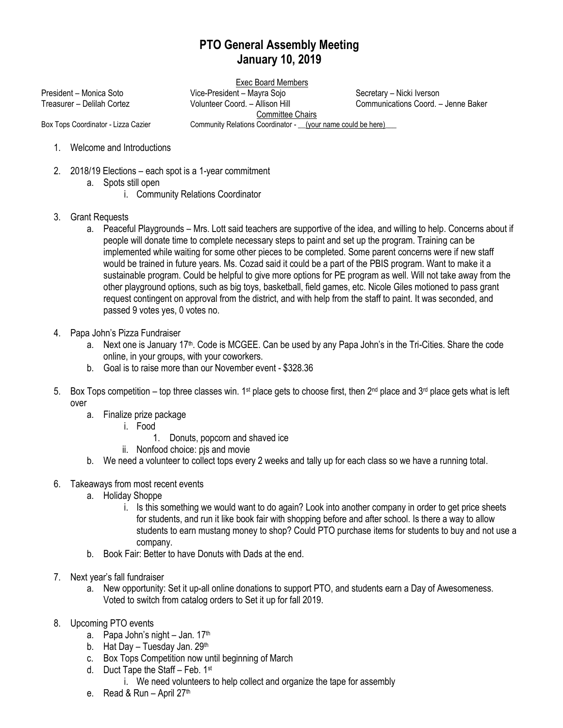## **PTO General Assembly Meeting January 10, 2019**

Exec Board Members President – Monica Soto Vice-President – Mayra Sojo Secretary – Nicki Iverson Volunteer Coord. – Allison Hill Communications Coord. – Jenne Baker Committee Chairs Box Tops Coordinator - Lizza Cazier Community Relations Coordinator - \_\_\_(your name could be here)

- 1. Welcome and Introductions
- 2. 2018/19 Elections each spot is a 1-year commitment
	- a. Spots still open
		- i. Community Relations Coordinator
- 3. Grant Requests
	- a. Peaceful Playgrounds Mrs. Lott said teachers are supportive of the idea, and willing to help. Concerns about if people will donate time to complete necessary steps to paint and set up the program. Training can be implemented while waiting for some other pieces to be completed. Some parent concerns were if new staff would be trained in future years. Ms. Cozad said it could be a part of the PBIS program. Want to make it a sustainable program. Could be helpful to give more options for PE program as well. Will not take away from the other playground options, such as big toys, basketball, field games, etc. Nicole Giles motioned to pass grant request contingent on approval from the district, and with help from the staff to paint. It was seconded, and passed 9 votes yes, 0 votes no.
- 4. Papa John's Pizza Fundraiser
	- a. Next one is January 17<sup>th</sup>. Code is MCGEE. Can be used by any Papa John's in the Tri-Cities. Share the code online, in your groups, with your coworkers.
	- b. Goal is to raise more than our November event \$328.36
- 5. Box Tops competition top three classes win. 1<sup>st</sup> place gets to choose first, then  $2^{nd}$  place and  $3^{rd}$  place gets what is left over
	- a. Finalize prize package
		- i. Food
			- 1. Donuts, popcorn and shaved ice
		- ii. Nonfood choice: pjs and movie
	- b. We need a volunteer to collect tops every 2 weeks and tally up for each class so we have a running total.
- 6. Takeaways from most recent events
	- a. Holiday Shoppe
		- i. Is this something we would want to do again? Look into another company in order to get price sheets for students, and run it like book fair with shopping before and after school. Is there a way to allow students to earn mustang money to shop? Could PTO purchase items for students to buy and not use a company.
	- b. Book Fair: Better to have Donuts with Dads at the end.
- 7. Next year's fall fundraiser
	- a. New opportunity: Set it up-all online donations to support PTO, and students earn a Day of Awesomeness. Voted to switch from catalog orders to Set it up for fall 2019.
- 8. Upcoming PTO events
	- a. Papa John's night  $-$  Jan. 17<sup>th</sup>
	- b. Hat Day Tuesday Jan.  $29<sup>th</sup>$
	- c. Box Tops Competition now until beginning of March
	- d. Duct Tape the Staff Feb. 1st
		- i. We need volunteers to help collect and organize the tape for assembly
	- e. Read & Run April 27th